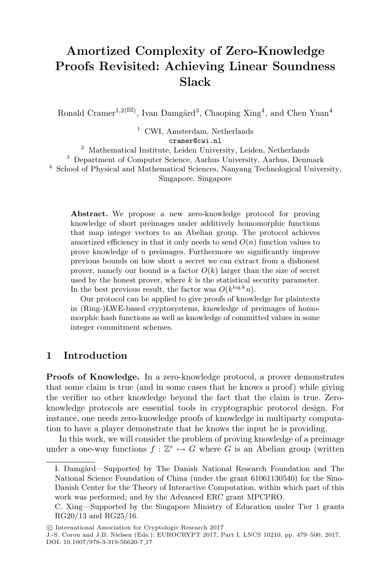# **Amortized Complexity of Zero-Knowledge Proofs Revisited: Achieving Linear Soundness Slack**

Ronald Cramer<sup>1,2( $\boxtimes$ )</sup>, Ivan Damgård<sup>3</sup>, Chaoping Xing<sup>4</sup>, and Chen Yuan<sup>4</sup>

<sup>1</sup> CWI, Amsterdam, Netherlands

cramer@cwi.nl

<sup>2</sup> Mathematical Institute, Leiden University, Leiden, Netherlands

<sup>3</sup> Department of Computer Science, Aarhus University, Aarhus, Denmark <sup>4</sup> School of Physical and Mathematical Sciences, Nanyang Technological University, Singapore, Singapore

**Abstract.** We propose a new zero-knowledge protocol for proving knowledge of short preimages under additively homomorphic functions that map integer vectors to an Abelian group. The protocol achieves amortized efficiency in that it only needs to send  $O(n)$  function values to prove knowledge of n preimages. Furthermore we significantly improve previous bounds on how short a secret we can extract from a dishonest prover, namely our bound is a factor  $O(k)$  larger than the size of secret used by the honest prover, where  $k$  is the statistical security parameter. In the best previous result, the factor was  $O(k^{\log k}n)$ .

Our protocol can be applied to give proofs of knowledge for plaintexts in (Ring-)LWE-based cryptosystems, knowledge of preimages of homomorphic hash functions as well as knowledge of committed values in some integer commitment schemes.

# **1 Introduction**

**Proofs of Knowledge.** In a zero-knowledge protocol, a prover demonstrates that some claim is true (and in some cases that he knows a proof) while giving the verifier no other knowledge beyond the fact that the claim is true. Zeroknowledge protocols are essential tools in cryptographic protocol design. For instance, one needs zero-knowledge proofs of knowledge in multiparty computation to have a player demonstrate that he knows the input he is providing.

In this work, we will consider the problem of proving knowledge of a preimage under a one-way functions  $f: \mathbb{Z}^r \mapsto G$  where G is an Abelian group (written

I. Damgård—Supported by The Danish National Research Foundation and The National Science Foundation of China (under the grant 61061130540) for the Sino-Danish Center for the Theory of Interactive Computation, within which part of this work was performed; and by the Advanced ERC grant MPCPRO.

C. Xing—Supported by the Singapore Ministry of Education under Tier 1 grants RG20/13 and RG25/16.

<sup>-</sup>c International Association for Cryptologic Research 2017

J.-S. Coron and J.B. Nielsen (Eds.): EUROCRYPT 2017, Part I, LNCS 10210, pp. 479–500, 2017. DOI: 10.1007/978-3-319-56620-7 17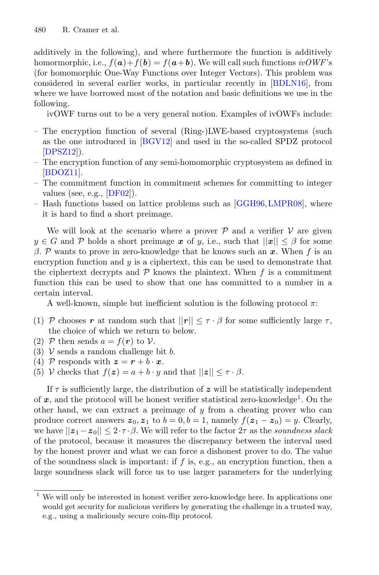additively in the following), and where furthermore the function is additively homormorphic, i.e.,  $f(\mathbf{a})+f(\mathbf{b})=f(\mathbf{a}+\mathbf{b})$ . We will call such functions  $ivOWF$ 's (for homomorphic One-Way Functions over Integer Vectors). This problem was considered in several earlier works, in particular recently in [\[BDLN16\]](#page-20-0), from where we have borrowed most of the notation and basic definitions we use in the following.

ivOWF turns out to be a very general notion. Examples of ivOWFs include:

- The encryption function of several (Ring-)LWE-based cryptosystems (such as the one introduced in [\[BGV12](#page-20-1)] and used in the so-called SPDZ protocol  $[DPSZ12]$  $[DPSZ12]$ .
- The encryption function of any semi-homomorphic cryptosystem as defined in [\[BDOZ11\]](#page-20-2).
- The commitment function in commitment schemes for committing to integer values (see, e.g., [\[DF02\]](#page-21-1)).
- Hash functions based on lattice problems such as [\[GGH96](#page-21-2),[LMPR08](#page-21-3)], where it is hard to find a short preimage.

We will look at the scenario where a prover  $P$  and a verifier  $V$  are given  $y \in G$  and P holds a short preimage x of y, i.e., such that  $||x|| \leq \beta$  for some β. P wants to prove in zero-knowledge that he knows such an *x*. When f is an encryption function and  $y$  is a ciphertext, this can be used to demonstrate that the ciphertext decrypts and  $P$  knows the plaintext. When  $f$  is a commitment function this can be used to show that one has committed to a number in a certain interval.

A well-known, simple but inefficient solution is the following protocol  $\pi$ :

- (1) P chooses r at random such that  $||r|| \leq \tau \cdot \beta$  for some sufficiently large  $\tau$ , the choice of which we return to below.
- (2) P then sends  $a = f(r)$  to V.
- (3)  $V$  sends a random challenge bit b.
- (4) P responds with  $z = r + b \cdot x$ .
- (5) V checks that  $f(z) = a + b \cdot y$  and that  $||z|| \leq \tau \cdot \beta$ .

If  $\tau$  is sufficiently large, the distribution of  $z$  will be statistically independent of *x*, and the protocol will be honest verifier statistical zero-knowledge[1](#page-1-0). On the other hand, we can extract a preimage of  $y$  from a cheating prover who can produce correct answers  $z_0$ ,  $z_1$  to  $b = 0$ ,  $b = 1$ , namely  $f(z_1 - z_0) = y$ . Clearly, we have  $||z_1 - z_0|| \leq 2 \cdot \tau \cdot \beta$ . We will refer to the factor  $2\tau$  as the *soundness slack* of the protocol, because it measures the discrepancy between the interval used by the honest prover and what we can force a dishonest prover to do. The value of the soundness slack is important: if  $f$  is, e.g., an encryption function, then a large soundness slack will force us to use larger parameters for the underlying

<span id="page-1-0"></span>We will only be interested in honest verifier zero-knowledge here. In applications one would get security for malicious verifiers by generating the challenge in a trusted way, e.g., using a maliciously secure coin-flip protocol.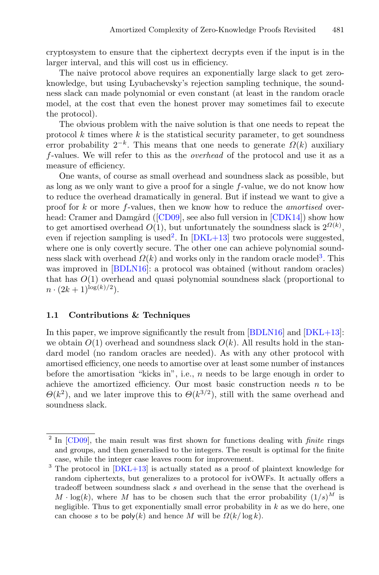cryptosystem to ensure that the ciphertext decrypts even if the input is in the larger interval, and this will cost us in efficiency.

The naive protocol above requires an exponentially large slack to get zeroknowledge, but using Lyubachevsky's rejection sampling technique, the soundness slack can made polynomial or even constant (at least in the random oracle model, at the cost that even the honest prover may sometimes fail to execute the protocol).

The obvious problem with the naive solution is that one needs to repeat the protocol  $k$  times where  $k$  is the statistical security parameter, to get soundness error probability  $2^{-k}$ . This means that one needs to generate  $\Omega(k)$  auxiliary f-values. We will refer to this as the *overhead* of the protocol and use it as a measure of efficiency.

One wants, of course as small overhead and soundness slack as possible, but as long as we only want to give a proof for a single f-value, we do not know how to reduce the overhead dramatically in general. But if instead we want to give a proof for k or more f-values, then we know how to reduce the *amortised* over-head: Cramer and Damgård ([\[CD09](#page-20-3)], see also full version in  $\lfloor$ CDK14]) show how to get amortised overhead  $O(1)$ , but unfortunately the soundness slack is  $2^{\Omega(k)}$ , even if rejection sampling is used<sup>[2](#page-2-0)</sup>. In  $[DKL+13]$  two protocols were suggested, where one is only covertly secure. The other one can achieve polynomial soundness slack with overhead  $\Omega(k)$  and works only in the random oracle model<sup>[3](#page-2-1)</sup>. This was improved in [\[BDLN16\]](#page-20-0): a protocol was obtained (without random oracles) that has  $O(1)$  overhead and quasi polynomial soundness slack (proportional to  $n \cdot (2k+1)^{\log(k)/2}$ .

### **1.1 Contributions & Techniques**

In this paper, we improve significantly the result from [\[BDLN16\]](#page-20-0) and [\[DKL+13\]](#page-21-4): we obtain  $O(1)$  overhead and soundness slack  $O(k)$ . All results hold in the standard model (no random oracles are needed). As with any other protocol with amortised efficiency, one needs to amortise over at least some number of instances before the amortisation "kicks in", i.e.,  $n$  needs to be large enough in order to achieve the amortized efficiency. Our most basic construction needs  $n$  to be  $\Theta(k^2)$ , and we later improve this to  $\Theta(k^{3/2})$ , still with the same overhead and soundness slack.

<span id="page-2-0"></span><sup>2</sup> In [\[CD09](#page-20-3)], the main result was first shown for functions dealing with *finite* rings and groups, and then generalised to the integers. The result is optimal for the finite case, while the integer case leaves room for improvement.

<span id="page-2-1"></span><sup>&</sup>lt;sup>3</sup> The protocol in  $[DKL+13]$  $[DKL+13]$  is actually stated as a proof of plaintext knowledge for random ciphertexts, but generalizes to a protocol for ivOWFs. It actually offers a tradeoff between soundness slack s and overhead in the sense that the overhead is  $M \cdot \log(k)$ , where M has to be chosen such that the error probability  $(1/s)^M$  is negligible. Thus to get exponentially small error probability in  $k$  as we do here, one can choose s to be  $\text{poly}(k)$  and hence M will be  $\Omega(k/\log k)$ .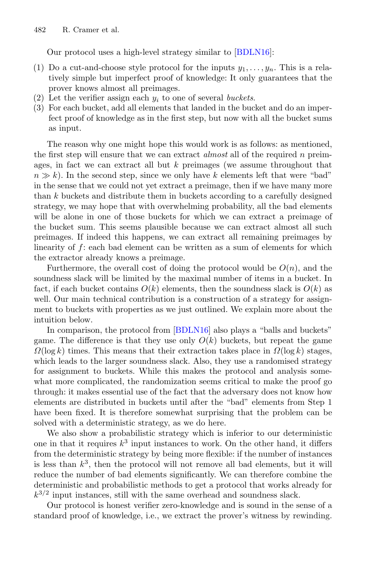Our protocol uses a high-level strategy similar to [\[BDLN16\]](#page-20-0):

- (1) Do a cut-and-choose style protocol for the inputs  $y_1, \ldots, y_n$ . This is a relatively simple but imperfect proof of knowledge: It only guarantees that the prover knows almost all preimages.
- (2) Let the verifier assign each  $y_i$  to one of several *buckets*.
- (3) For each bucket, add all elements that landed in the bucket and do an imperfect proof of knowledge as in the first step, but now with all the bucket sums as input.

The reason why one might hope this would work is as follows: as mentioned, the first step will ensure that we can extract *almost* all of the required n preimages, in fact we can extract all but k preimages (we assume throughout that  $n \gg k$ ). In the second step, since we only have k elements left that were "bad" in the sense that we could not yet extract a preimage, then if we have many more than k buckets and distribute them in buckets according to a carefully designed strategy, we may hope that with overwhelming probability, all the bad elements will be alone in one of those buckets for which we can extract a preimage of the bucket sum. This seems plausible because we can extract almost all such preimages. If indeed this happens, we can extract all remaining preimages by linearity of f: each bad element can be written as a sum of elements for which the extractor already knows a preimage.

Furthermore, the overall cost of doing the protocol would be  $O(n)$ , and the soundness slack will be limited by the maximal number of items in a bucket. In fact, if each bucket contains  $O(k)$  elements, then the soundness slack is  $O(k)$  as well. Our main technical contribution is a construction of a strategy for assignment to buckets with properties as we just outlined. We explain more about the intuition below.

In comparison, the protocol from [\[BDLN16\]](#page-20-0) also plays a "balls and buckets" game. The difference is that they use only  $O(k)$  buckets, but repeat the game  $\Omega(\log k)$  times. This means that their extraction takes place in  $\Omega(\log k)$  stages, which leads to the larger soundness slack. Also, they use a randomised strategy for assignment to buckets. While this makes the protocol and analysis somewhat more complicated, the randomization seems critical to make the proof go through: it makes essential use of the fact that the adversary does not know how elements are distributed in buckets until after the "bad" elements from Step 1 have been fixed. It is therefore somewhat surprising that the problem can be solved with a deterministic strategy, as we do here.

We also show a probabilistic strategy which is inferior to our deterministic one in that it requires  $k^3$  input instances to work. On the other hand, it differs from the deterministic strategy by being more flexible: if the number of instances is less than  $k^3$ , then the protocol will not remove all bad elements, but it will reduce the number of bad elements significantly. We can therefore combine the deterministic and probabilistic methods to get a protocol that works already for  $k^{3/2}$  input instances, still with the same overhead and soundness slack.

Our protocol is honest verifier zero-knowledge and is sound in the sense of a standard proof of knowledge, i.e., we extract the prover's witness by rewinding.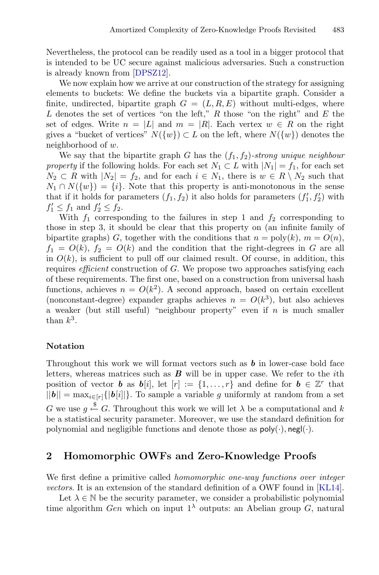Nevertheless, the protocol can be readily used as a tool in a bigger protocol that is intended to be UC secure against malicious adversaries. Such a construction is already known from [\[DPSZ12\]](#page-21-0).

We now explain how we arrive at our construction of the strategy for assigning elements to buckets: We define the buckets via a bipartite graph. Consider a finite, undirected, bipartite graph  $G = (L, R, E)$  without multi-edges, where L denotes the set of vertices "on the left,"  $R$  those "on the right" and  $E$  the set of edges. Write  $n = |L|$  and  $m = |R|$ . Each vertex  $w \in R$  on the right gives a "bucket of vertices"  $N({w}) \subset L$  on the left, where  $N({w})$  denotes the neighborhood of w.

We say that the bipartite graph G has the  $(f_1, f_2)$ -strong unique neighbour *property* if the following holds. For each set  $N_1 \subset L$  with  $|N_1| = f_1$ , for each set  $N_2 \subset R$  with  $|N_2| = f_2$ , and for each  $i \in N_1$ , there is  $w \in R \setminus N_2$  such that  $N_1 \cap N({w}) = {i}$ . Note that this property is anti-monotonous in the sense that if it holds for parameters  $(f_1, f_2)$  it also holds for parameters  $(f'_1, f'_2)$  with  $f_1' \leq f_1$  and  $f_2' \leq f_2$ .

With  $f_1$  corresponding to the failures in step 1 and  $f_2$  corresponding to those in step 3, it should be clear that this property on (an infinite family of bipartite graphs) G, together with the conditions that  $n = \text{poly}(k)$ ,  $m = O(n)$ ,  $f_1 = O(k)$ ,  $f_2 = O(k)$  and the condition that the right-degrees in G are all in  $O(k)$ , is sufficient to pull off our claimed result. Of course, in addition, this requires *efficient* construction of G. We propose two approaches satisfying each of these requirements. The first one, based on a construction from universal hash functions, achieves  $n = O(k^2)$ . A second approach, based on certain excellent (nonconstant-degree) expander graphs achieves  $n = O(k^3)$ , but also achieves a weaker (but still useful) "neighbour property" even if  $n$  is much smaller than  $k^3$ .

## **Notation**

Throughout this work we will format vectors such as *b* in lower-case bold face letters, whereas matrices such as *B* will be in upper case. We refer to the ith position of vector *b* as  $b[i]$ , let  $[r] := \{1, \ldots, r\}$  and define for  $b \in \mathbb{Z}^r$  that  $||\boldsymbol{b}|| = \max_{i \in [r]} {|\boldsymbol{b}[i]|}$ . To sample a variable g uniformly at random from a set G we use  $g \stackrel{\$}{\leftarrow} G$ . Throughout this work we will let  $\lambda$  be a computational and k be a statistical security parameter. Moreover, we use the standard definition for polynomial and negligible functions and denote those as  $\mathsf{poly}(\cdot)$ , negl( $\cdot$ ).

# **2 Homomorphic OWFs and Zero-Knowledge Proofs**

We first define a primitive called *homomorphic one-way functions over integer vectors*. It is an extension of the standard definition of a OWF found in [\[KL14\]](#page-21-5).

Let  $\lambda \in \mathbb{N}$  be the security parameter, we consider a probabilistic polynomial time algorithm Gen which on input  $1^{\lambda}$  outputs: an Abelian group G, natural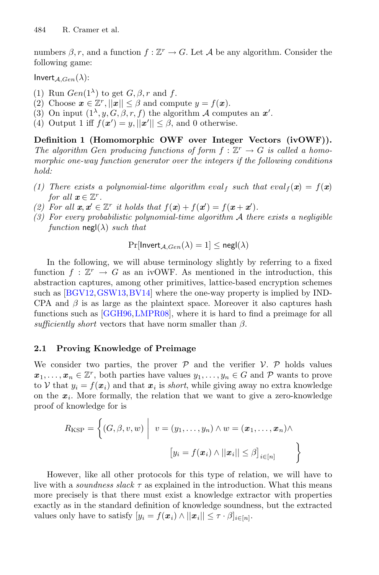numbers  $\beta$ , r, and a function  $f : \mathbb{Z}^r \to G$ . Let A be any algorithm. Consider the following game:

Invert  $_{A,Gen}(\lambda)$ :

- (1) Run  $Gen(1^{\lambda})$  to get  $G, \beta, r$  and f.
- (2) Choose  $\mathbf{x} \in \mathbb{Z}^r$ ,  $||\mathbf{x}|| \leq \beta$  and compute  $y = f(\mathbf{x})$ .
- (3) On input  $(1^{\lambda}, y, G, \beta, r, f)$  the algorithm A computes an  $x'$ .
- (4) Output 1 iff  $f(\mathbf{x}') = y, ||\mathbf{x}'|| \leq \beta$ , and 0 otherwise.

**Definition 1 (Homomorphic OWF over Integer Vectors (ivOWF)).** *The algorithm* Gen producing functions of form  $f : \mathbb{Z}^r \to G$  is called a homo*morphic one-way function generator over the integers if the following conditions hold:*

- *(1) There exists a polynomial-time algorithm*  $eval_f$  *such that*  $eval_f(\mathbf{x}) = f(\mathbf{x})$ *for all*  $x \in \mathbb{Z}^r$ .
- *(2)* For all  $x, x' \in \mathbb{Z}^r$  *it holds that*  $f(x) + f(x') = f(x + x')$ .
- *(3) For every probabilistic polynomial-time algorithm* A *there exists a negligible function*  $\text{negl}(\lambda)$  *such that*

$$
\Pr[\mathsf{Invert}_{\mathcal{A},Gen}(\lambda) = 1] \le \mathsf{negl}(\lambda)
$$

In the following, we will abuse terminology slightly by referring to a fixed function  $f : \mathbb{Z}^r \to G$  as an ivOWF. As mentioned in the introduction, this abstraction captures, among other primitives, lattice-based encryption schemes such as [\[BGV12,](#page-20-1)[GSW13](#page-21-6),[BV14](#page-20-5)] where the one-way property is implied by IND-CPA and  $\beta$  is as large as the plaintext space. Moreover it also captures hash functions such as [\[GGH96,](#page-21-2)[LMPR08\]](#page-21-3), where it is hard to find a preimage for all *sufficiently short* vectors that have norm smaller than  $\beta$ .

### **2.1 Proving Knowledge of Preimage**

We consider two parties, the prover  $P$  and the verifier  $V$ .  $P$  holds values  $x_1, \ldots, x_n \in \mathbb{Z}^r$ , both parties have values  $y_1, \ldots, y_n \in G$  and P wants to prove to V that  $y_i = f(x_i)$  and that  $x_i$  is *short*, while giving away no extra knowledge on the  $x_i$ . More formally, the relation that we want to give a zero-knowledge proof of knowledge for is

$$
R_{\text{KSP}} = \left\{ (G, \beta, v, w) \middle| v = (y_1, \dots, y_n) \land w = (\boldsymbol{x}_1, \dots, \boldsymbol{x}_n) \land \right\}
$$

$$
[y_i = f(\boldsymbol{x}_i) \land ||\boldsymbol{x}_i|| \leq \beta]_{i \in [n]}
$$

However, like all other protocols for this type of relation, we will have to live with a *soundness slack*  $\tau$  as explained in the introduction. What this means more precisely is that there must exist a knowledge extractor with properties exactly as in the standard definition of knowledge soundness, but the extracted values only have to satisfy  $[y_i = f(\boldsymbol{x}_i) \wedge ||\boldsymbol{x}_i|| \leq \tau \cdot \beta]_{i \in [n]}$ .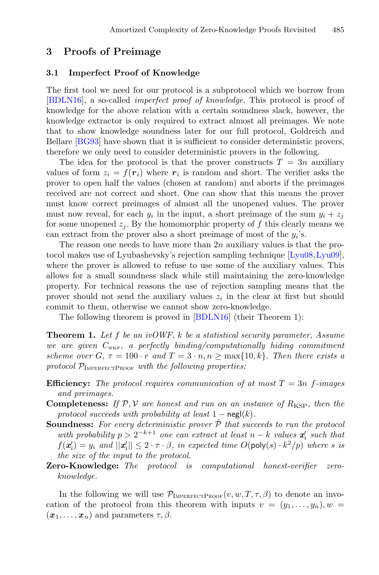# **3 Proofs of Preimage**

#### **3.1 Imperfect Proof of Knowledge**

The first tool we need for our protocol is a subprotocol which we borrow from [\[BDLN16\]](#page-20-0), a so-called *imperfect proof of knowledge*. This protocol is proof of knowledge for the above relation with a certain soundness slack, however, the knowledge extractor is only required to extract almost all preimages. We note that to show knowledge soundness later for our full protocol, Goldreich and Bellare [\[BG93\]](#page-20-6) have shown that it is sufficient to consider deterministic provers, therefore we only need to consider deterministic provers in the following.

The idea for the protocol is that the prover constructs  $T = 3n$  auxiliary values of form  $z_i = f(r_i)$  where  $r_i$  is random and short. The verifier asks the prover to open half the values (chosen at random) and aborts if the preimages received are not correct and short. One can show that this means the prover must know correct preimages of almost all the unopened values. The prover must now reveal, for each  $y_i$  in the input, a short preimage of the sum  $y_i + z_j$ for some unopened  $z_i$ . By the homomorphic property of f this clearly means we can extract from the prover also a short preimage of most of the  $y_i$ 's.

The reason one needs to have more than  $2n$  auxiliary values is that the protocol makes use of Lyubashevsky's rejection sampling technique [\[Lyu08](#page-21-7),[Lyu09\]](#page-21-8), where the prover is allowed to refuse to use some of the auxiliary values. This allows for a small soundness slack while still maintaining the zero-knowledge property. For technical reasons the use of rejection sampling means that the prover should not send the auxiliary values  $z_i$  in the clear at first but should commit to them, otherwise we cannot show zero-knowledge.

The following theorem is proved in [\[BDLN16\]](#page-20-0) (their Theorem 1):

<span id="page-6-0"></span>**Theorem 1.** *Let* f *be an ivOWF,* k *be a statistical security parameter, Assume we are given* Caux*, a perfectly binding/computationally hiding commitment scheme over*  $G, \tau = 100 \cdot r$  *and*  $T = 3 \cdot n, n \ge \max\{10, k\}$ *. Then there exists a* protocol  $\mathcal{P}_{\text{IMPERFECTPROOF}}$  *with the following properties:* 

- **Efficiency:** The protocol requires communication of at most  $T = 3n$  f-images *and preimages.*
- **Completeness:** If  $P$ ,  $V$  are honest and run on an instance of  $R_{KSP}$ , then the *protocol succeeds with probability at least*  $1 - \text{negl}(k)$ .
- **Soundness:** For every deterministic prover  $\hat{\mathcal{P}}$  that succeeds to run the protocol *with probability*  $p > 2^{-k+1}$  *one can extract at least*  $n - k$  *values*  $x'_i$  *such that*  $f(\mathbf{x}'_i) = y_i$  and  $||\mathbf{x}'_i|| \leq 2 \cdot \tau \cdot \beta$ , in expected time  $O(\text{poly}(s) \cdot k^2/p)$  where *s* is<br>the size of the input to the protocol *the size of the input to the protocol.*
- **Zero-Knowledge:** *The protocol is computational honest-verifier zeroknowledge.*

In the following we will use  $\mathcal{P}_{\text{IMPERFECTPROOF}}(v, w, T, \tau, \beta)$  to denote an invocation of the protocol from this theorem with inputs  $v = (y_1, \ldots, y_n), w =$  $(\boldsymbol{x}_1,\ldots,\boldsymbol{x}_n)$  and parameters  $\tau,\beta$ .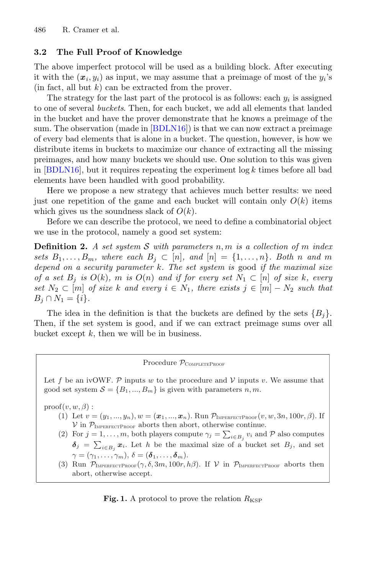## **3.2 The Full Proof of Knowledge**

The above imperfect protocol will be used as a building block. After executing it with the  $(x_i, y_i)$  as input, we may assume that a preimage of most of the  $y_i$ 's  $(in fact, all but k) can be extracted from the prover.$ 

The strategy for the last part of the protocol is as follows: each  $y_i$  is assigned to one of several *buckets*. Then, for each bucket, we add all elements that landed in the bucket and have the prover demonstrate that he knows a preimage of the sum. The observation (made in [\[BDLN16](#page-20-0)]) is that we can now extract a preimage of every bad elements that is alone in a bucket. The question, however, is how we distribute items in buckets to maximize our chance of extracting all the missing preimages, and how many buckets we should use. One solution to this was given in  $[BDLN16]$ , but it requires repeating the experiment  $\log k$  times before all bad elements have been handled with good probability.

Here we propose a new strategy that achieves much better results: we need just one repetition of the game and each bucket will contain only  $O(k)$  items which gives us the soundness slack of  $O(k)$ .

Before we can describe the protocol, we need to define a combinatorial object we use in the protocol, namely a good set system:

**Definition 2.** *A set system* S *with parameters* n, m *is a collection of* m *index sets*  $B_1, \ldots, B_m$ *, where each*  $B_j \subset [n]$ *, and*  $[n] = \{1, \ldots, n\}$ *. Both* n *and* m *depend on a security parameter* k*. The set system is* good *if the maximal size of a set*  $B_j$  *is*  $O(k)$ *, m is*  $O(n)$  *and if for every set*  $N_1 \subset [n]$  *of size* k*, every set*  $N_2 \subset [m]$  *of size* k and every  $i \in N_1$ , there exists  $j \in [m] - N_2$  such that  $B_i \cap N_1 = \{i\}.$ 

The idea in the definition is that the buckets are defined by the sets  ${B_i}$ . Then, if the set system is good, and if we can extract preimage sums over all bucket except  $k$ , then we will be in business.

#### Procedure  $p_{\text{COMPLETEPROOF}}$

Let f be an ivOWF. P inputs w to the procedure and V inputs v. We assume that good set system  $S = \{B_1, ..., B_m\}$  is given with parameters n, m.

 $\text{proof}(v, w, \beta)$ :

- (1) Let  $v = (y_1, ..., y_n), w = (\mathbf{x}_1, ..., \mathbf{x}_n)$ . Run  $\mathcal{P}_{\text{IMPERFECTPROOF}}(v, w, 3n, 100r, \beta)$ . If  $\mathcal V$  in  $\mathcal P_{\text{IMPERFECTPROOF}}$  aborts then abort, otherwise continue.
- (2) For  $j = 1, ..., m$ , both players compute  $\gamma_j = \sum_{i \in B_j} v_i$  and P also computes  $\delta_j = \sum_{i \in B_j} x_i$ . Let h be the maximal size of a bucket set  $B_j$ , and set  $\gamma = (\gamma_1, \ldots, \gamma_m), \delta = (\boldsymbol{\delta}_1, \ldots, \boldsymbol{\delta}_m).$
- <span id="page-7-0"></span>(3) Run  $\mathcal{P}_{\text{IMPERFECTPROOF}}(\gamma, \delta, 3m, 100r, h\beta)$ . If  $\mathcal V$  in  $\mathcal{P}_{\text{IMPERFECTPROOF}}$  aborts then abort, otherwise accept.

**Fig. 1.** A protocol to prove the relation  $R_{KSP}$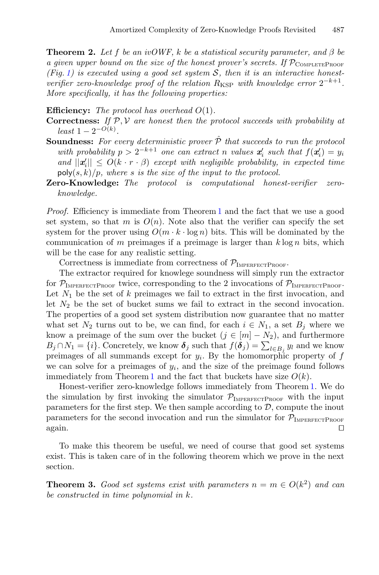**Theorem 2.** Let f be an ivOWF, k be a statistical security parameter, and  $\beta$  be *a given upper bound on the size of the honest prover's secrets. If*  $\mathcal{P}_{\text{COMPLETEPROOF}}$ *(Fig. [1\)](#page-7-0) is executed using a good set system* S*, then it is an interactive honestverifier zero-knowledge proof of the relation*  $R_{\text{KSP}}$  *with knowledge error*  $2^{-k+1}$ *. More specifically, it has the following properties:*

**Efficiency:** *The protocol has overhead* O(1)*.*

- **Correctness:** *If* P, V *are honest then the protocol succeeds with probability at*  $least\ 1-2^{-O(k)}$ .
- **Soundness:** For every deterministic prover  $\hat{\mathcal{P}}$  that succeeds to run the protocol *with probability*  $p > 2^{-k+1}$  *one can extract n values*  $x'_i$  *such that*  $f(x'_i) = y_i$ *and*  $||\mathbf{x}'_i|| \leq O(k \cdot r \cdot \beta)$  *except with negligible probability, in expected time*  $\mathsf{poly}(s, k)/p$ , where *s* is the size of the input to the protocol.
- **Zero-Knowledge:** *The protocol is computational honest-verifier zeroknowledge.*

*Proof.* Efficiency is immediate from Theorem [1](#page-6-0) and the fact that we use a good set system, so that m is  $O(n)$ . Note also that the verifier can specify the set system for the prover using  $O(m \cdot k \cdot \log n)$  bits. This will be dominated by the communication of m preimages if a preimage is larger than  $k \log n$  bits, which will be the case for any realistic setting.

Correctness is immediate from correctness of  $\mathcal{P}_{\text{IMPERFECTPROOF}}$ .

The extractor required for knowlege soundness will simply run the extractor for  $\mathcal{P}_{\text{IMPERFECTPROOF}}$  twice, corresponding to the 2 invocations of  $\mathcal{P}_{\text{IMPERFECTPROOF}}}$ . Let  $N_1$  be the set of k preimages we fail to extract in the first invocation, and let  $N_2$  be the set of bucket sums we fail to extract in the second invocation. The properties of a good set system distribution now guarantee that no matter what set  $N_2$  turns out to be, we can find, for each  $i \in N_1$ , a set  $B_i$  where we know a preimage of the sum over the bucket  $(j \in [m] - N_2)$ , and furthermore  $B_j \cap N_1 = \{i\}$ . Concretely, we know  $\delta_j$  such that  $f(\delta_j) = \sum_{l \in B_j} y_l$  and we know preimages of all summands except for  $y_i$ . By the homomorphic property of f we can solve for a preimages of  $y_i$ , and the size of the preimage found follows immediately from Theorem [1](#page-6-0) and the fact that buckets have size  $O(k)$ .

Honest-verifier zero-knowledge follows immediately from Theorem [1.](#page-6-0) We do the simulation by first invoking the simulator  $\mathcal{P}_{\text{IMPERFECTPROOF}}$  with the input parameters for the first step. We then sample according to  $D$ , compute the inout parameters for the second invocation and run the simulator for  $\mathcal{P}_{\text{IMPERFECTPROOF}}}$  again. again.  $\square$ 

To make this theorem be useful, we need of course that good set systems exist. This is taken care of in the following theorem which we prove in the next section.

<span id="page-8-0"></span>**Theorem 3.** *Good set systems exist with parameters*  $n = m \in O(k^2)$  *and can be constructed in time polynomial in* k*.*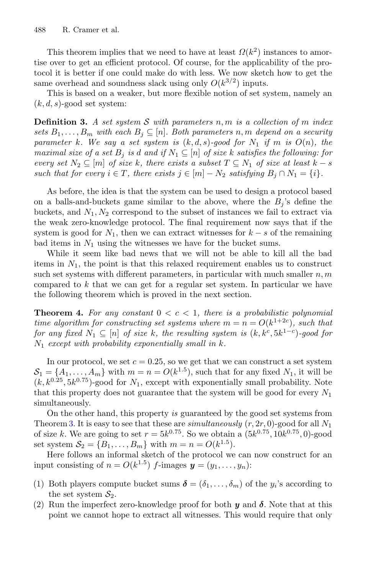This theorem implies that we need to have at least  $\Omega(k^2)$  instances to amortise over to get an efficient protocol. Of course, for the applicability of the protocol it is better if one could make do with less. We now sketch how to get the same overhead and soundness slack using only  $O(k^{3/2})$  inputs.

<span id="page-9-1"></span>This is based on a weaker, but more flexible notion of set system, namely an  $(k, d, s)$ -good set system:

**Definition 3.** *A set system* S *with parameters* n, m *is a collection of* m *index sets*  $B_1, \ldots, B_m$  *with each*  $B_i \subseteq [n]$ *. Both parameters* n, m *depend on a security parameter* k. We say a set system is  $(k, d, s)$ -good for  $N_1$  *if* m *is*  $O(n)$ *, the maximal size of a set*  $B_i$  *is d and if*  $N_1 \subseteq [n]$  *of size* k *satisfies the following: for every set*  $N_2 \subseteq [m]$  *of size* k, there exists a subset  $T \subseteq N_1$  *of size at least*  $k - s$ *such that for every*  $i \in T$ *, there exists*  $j \in [m] - N_2$  *satisfying*  $B_i \cap N_1 = \{i\}$ *.* 

As before, the idea is that the system can be used to design a protocol based on a balls-and-buckets game similar to the above, where the  $B_i$ 's define the buckets, and  $N_1, N_2$  correspond to the subset of instances we fail to extract via the weak zero-knowledge protocol. The final requirement now says that if the system is good for  $N_1$ , then we can extract witnesses for  $k - s$  of the remaining bad items in  $N_1$  using the witnesses we have for the bucket sums.

While it seem like bad news that we will not be able to kill all the bad items in  $N_1$ , the point is that this relaxed requirement enables us to construct such set systems with different parameters, in particular with much smaller  $n, m$ compared to k that we can get for a regular set system. In particular we have the following theorem which is proved in the next section.

<span id="page-9-0"></span>**Theorem 4.** For any constant  $0 < c < 1$ , there is a probabilistic polynomial *time algorithm for constructing set systems where*  $m = n = O(k^{1+2c})$ *, such that for any fixed*  $N_1 \subseteq [n]$  *of size* k, the resulting system is  $(k, k^c, 5k^{1-c})$ -good for N<sup>1</sup> *except with probability exponentially small in* k*.*

In our protocol, we set  $c = 0.25$ , so we get that we can construct a set system  $S_1 = \{A_1, \ldots, A_m\}$  with  $m = n = O(k^{1.5})$ , such that for any fixed  $N_1$ , it will be  $(k, k^{0.25}, 5k^{0.75})$ -good for  $N_1$ , except with exponentially small probability. Note that this property does not guarantee that the system will be good for every  $N_1$ simultaneously.

On the other hand, this property *is* guaranteed by the good set systems from Theorem [3.](#page-8-0) It is easy to see that these are *simultaneously*  $(r, 2r, 0)$ -good for all  $N_1$ of size k. We are going to set  $r = 5k^{0.75}$ . So we obtain a  $(5k^{0.75}, 10k^{0.75}, 0)$ -good set system  $S_2 = \{B_1, ..., B_m\}$  with  $m = n = O(k^{1.5})$ .

Here follows an informal sketch of the protocol we can now construct for an input consisting of  $n = O(k^{1.5})$  f-images  $y = (y_1, \ldots, y_n)$ :

- (1) Both players compute bucket sums  $\boldsymbol{\delta} = (\delta_1, \ldots, \delta_m)$  of the  $y_i$ 's according to the set system  $S_2$ .
- (2) Run the imperfect zero-knowledge proof for both *y* and *δ*. Note that at this point we cannot hope to extract all witnesses. This would require that only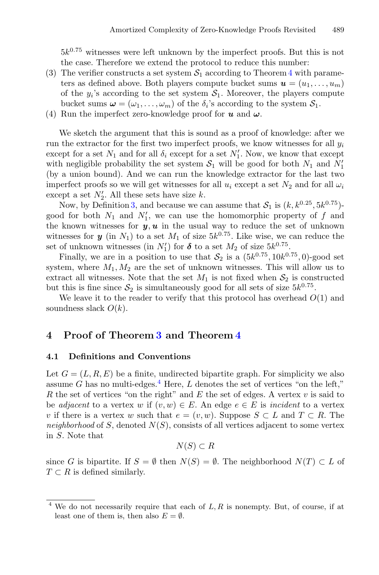$5k^{0.75}$  witnesses were left unknown by the imperfect proofs. But this is not the case. Therefore we extend the protocol to reduce this number:

- (3) The verifier constructs a set system  $S_1$  according to Theorem [4](#page-9-0) with parameters as defined above. Both players compute bucket sums  $u = (u_1, \ldots, u_m)$ of the  $y_i$ 's according to the set system  $S_1$ . Moreover, the players compute bucket sums  $\boldsymbol{\omega} = (\omega_1, \ldots, \omega_m)$  of the  $\delta_i$ 's according to the system  $\mathcal{S}_1$ .
- (4) Run the imperfect zero-knowledge proof for *u* and *ω*.

We sketch the argument that this is sound as a proof of knowledge: after we run the extractor for the first two imperfect proofs, we know witnesses for all  $y_i$ except for a set  $N_1$  and for all  $\delta_i$  except for a set  $N'_1$ . Now, we know that except with negligible probability the set system  $S_1$  will be good for both  $N_1$  and  $N'_1$ (by a union bound). And we can run the knowledge extractor for the last two imperfect proofs so we will get witnesses for all  $u_i$  except a set  $N_2$  and for all  $\omega_i$ except a set  $N'_2$ . All these sets have size k.

Now, by Definition [3,](#page-9-1) and because we can assume that  $S_1$  is  $(k, k^{0.25}, 5k^{0.75})$ good for both  $N_1$  and  $N'_1$ , we can use the homomorphic property of f and the known witnesses for  $y, u$  in the usual way to reduce the set of unknown witnesses for *y* (in  $N_1$ ) to a set  $M_1$  of size  $5k^{0.75}$ . Like wise, we can reduce the set of unknown witnesses (in  $N'_1$ ) for  $\delta$  to a set  $M_2$  of size  $5k^{0.75}$ .

Finally, we are in a position to use that  $S_2$  is a  $(5k^{0.75}, 10k^{0.75}, 0)$ -good set system, where  $M_1, M_2$  are the set of unknown witnesses. This will allow us to extract all witnesses. Note that the set  $M_1$  is not fixed when  $S_2$  is constructed but this is fine since  $S_2$  is simultaneously good for all sets of size  $5k^{0.75}$ .

We leave it to the reader to verify that this protocol has overhead  $O(1)$  and soundness slack  $O(k)$ .

# **4 Proof of Theorem [3](#page-8-0) and Theorem [4](#page-9-0)**

### **4.1 Definitions and Conventions**

Let  $G = (L, R, E)$  be a finite, undirected bipartite graph. For simplicity we also assume G has no multi-edges.<sup>[4](#page-10-0)</sup> Here, L denotes the set of vertices "on the left," R the set of vertices "on the right" and  $E$  the set of edges. A vertex  $v$  is said to be *adjacent* to a vertex w if  $(v, w) \in E$ . An edge  $e \in E$  is *incident* to a vertex v if there is a vertex w such that  $e = (v, w)$ . Suppose  $S \subset L$  and  $T \subset R$ . The *neighborhood* of S, denoted  $N(S)$ , consists of all vertices adjacent to some vertex in S. Note that

 $N(S) \subset R$ 

since G is bipartite. If  $S = \emptyset$  then  $N(S) = \emptyset$ . The neighborhood  $N(T) \subset L$  of  $T \subset R$  is defined similarly.

<span id="page-10-0"></span><sup>&</sup>lt;sup>4</sup> We do not necessarily require that each of  $L, R$  is nonempty. But, of course, if at least one of them is, then also  $E = \emptyset$ .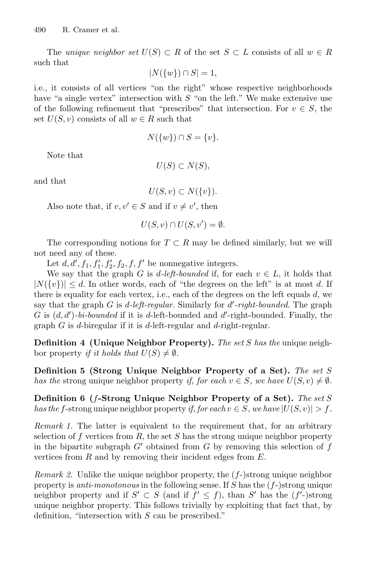The *unique neighbor set*  $U(S) \subset R$  of the set  $S \subset L$  consists of all  $w \in R$ such that

$$
|N(\{w\}) \cap S| = 1,
$$

i.e., it consists of all vertices "on the right" whose respective neighborhoods have "a single vertex" intersection with  $S$  "on the left." We make extensive use of the following refinement that "prescribes" that intersection. For  $v \in S$ , the set  $U(S, v)$  consists of all  $w \in R$  such that

$$
N(\{w\}) \cap S = \{v\}.
$$

Note that

 $U(S) \subset N(S)$ ,

and that

 $U(S, v) \subset N({v}).$ 

Also note that, if  $v, v' \in S$  and if  $v \neq v'$ , then

$$
U(S, v) \cap U(S, v') = \emptyset.
$$

The corresponding notions for  $T \subset R$  may be defined similarly, but we will not need any of these.

Let  $d, d', f_1, f'_1, f'_2, f_2, f, f'$  be nonnegative integers.

We say that the graph G is d-left-bounded if, for each  $v \in L$ , it holds that  $|N({v})| \leq d$ . In other words, each of "the degrees on the left" is at most d. If there is equality for each vertex, i.e., each of the degrees on the left equals  $d$ , we say that the graph G is d*-left-regular*. Similarly for d *-right-bounded*. The graph G is  $(d, d')$ -bi-bounded if it is d-left-bounded and  $d'$ -right-bounded. Finally, the graph G is d-biregular if it is d-left-regular and d-right-regular.

**Definition 4 (Unique Neighbor Property).** *The set* S *has the* unique neighbor property *if it holds that*  $U(S) \neq \emptyset$ *.* 

**Definition 5 (Strong Unique Neighbor Property of a Set).** *The set* S *has the* strong unique neighbor property *if, for each*  $v \in S$ *, we have*  $U(S, v) \neq \emptyset$ *.* 

**Definition 6 (**f**-Strong Unique Neighbor Property of a Set).** *The set* S *has the* f-strong unique neighbor property *if, for each*  $v \in S$ *, we have*  $|U(S, v)| > f$ *.* 

*Remark 1.* The latter is equivalent to the requirement that, for an arbitrary selection of f vertices from R, the set S has the strong unique neighbor property in the bipartite subgraph  $G'$  obtained from  $G$  by removing this selection of  $f$ vertices from  $R$  and by removing their incident edges from  $E$ .

*Remark 2.* Unlike the unique neighbor property, the  $(f-)$ strong unique neighbor property is *anti-monotonous* in the following sense. If S has the (f-)strong unique neighbor property and if  $S' \subset S$  (and if  $f' \leq f$ ), than S' has the  $(f')$ -strong unique neighbor property. This follows trivially by exploiting that fact that, by definition, "intersection with S can be prescribed."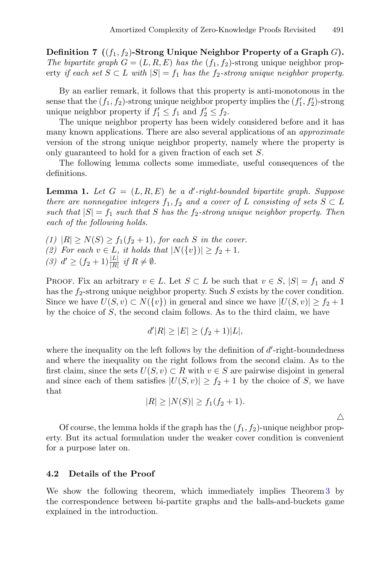**Definition 7** ( $(f_1, f_2)$ **-Strong Unique Neighbor Property of a Graph** G). *The bipartite graph*  $G = (L, R, E)$  *has the*  $(f_1, f_2)$ -strong unique neighbor property *if each set*  $S \subset L$  *with*  $|S| = f_1$  *has the*  $f_2$ -strong unique neighbor property.

By an earlier remark, it follows that this property is anti-monotonous in the sense that the  $(f_1, f_2)$ -strong unique neighbor property implies the  $(f'_1, f'_2)$ -strong unique neighbor property if  $f_1' \leq f_1$  and  $f_2' \leq f_2$ .

The unique neighbor property has been widely considered before and it has many known applications. There are also several applications of an *approximate* version of the strong unique neighbor property, namely where the property is only guaranteed to hold for a given fraction of each set S.

<span id="page-12-0"></span>The following lemma collects some immediate, useful consequences of the definitions.

**Lemma 1.** *Let* G = (L, R, E) *be a* d *-right-bounded bipartite graph. Suppose there are nonnegative integers*  $f_1, f_2$  *and a cover of* L *consisting of sets*  $S \subset L$ *such that*  $|S| = f_1$  *such that* S *has the*  $f_2$ -*strong unique neighbor property. Then each of the following holds.*

 $(1)$   $|R| \ge N(S) \ge f_1(f_2 + 1)$ *, for each S in the cover. (2)* For each  $v \in L$ , it holds that  $|N({v})| \ge f_2 + 1$ . *(3)*  $d' \ge (f_2 + 1) \frac{|L|}{|R|}$  *if*  $R \ne \emptyset$ *.* 

PROOF. Fix an arbitrary  $v \in L$ . Let  $S \subset L$  be such that  $v \in S$ ,  $|S| = f_1$  and S has the  $f_2$ -strong unique neighbor property. Such S exists by the cover condition. Since we have  $U(S, v) \subset N({v})$  in general and since we have  $|U(S, v)| \ge f_2 + 1$ by the choice of  $S$ , the second claim follows. As to the third claim, we have

$$
d'|R| \ge |E| \ge (f_2 + 1)|L|,
$$

where the inequality on the left follows by the definition of  $d'$ -right-boundedness and where the inequality on the right follows from the second claim. As to the first claim, since the sets  $U(S, v) \subset R$  with  $v \in S$  are pairwise disjoint in general and since each of them satisfies  $|U(S, v)| \ge f_2 + 1$  by the choice of S, we have that

$$
|R| \ge |N(S)| \ge f_1(f_2 + 1).
$$

Δ

Of course, the lemma holds if the graph has the  $(f_1, f_2)$ -unique neighbor property. But its actual formulation under the weaker cover condition is convenient for a purpose later on.

### **4.2 Details of the Proof**

<span id="page-12-1"></span>We show the following theorem, which immediately implies Theorem [3](#page-8-0) by the correspondence between bi-partite graphs and the balls-and-buckets game explained in the introduction.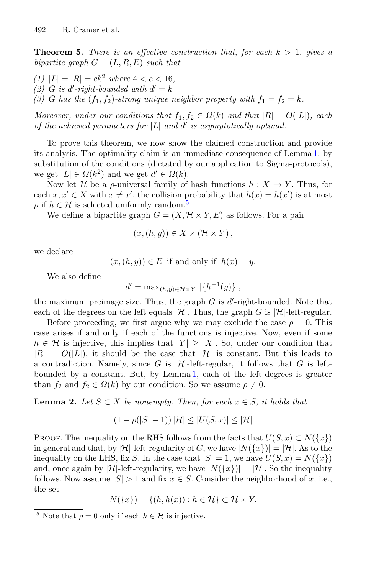**Theorem 5.** *There is an effective construction that, for each*  $k > 1$ *, gives a bipartite graph*  $G = (L, R, E)$  *such that* 

- *(1)*  $|L| = |R| = ck^2$  *where*  $4 < c < 16$ *,*
- $(2)$  *G is d'-right-bounded with*  $d' = k$
- (3) G has the  $(f_1, f_2)$ -strong unique neighbor property with  $f_1 = f_2 = k$ .

*Moreover, under our conditions that*  $f_1, f_2 \in \Omega(k)$  *and that*  $|R| = O(|L|)$ *, each of the achieved parameters for*  $|L|$  *and*  $d'$  *is asymptotically optimal.* 

To prove this theorem, we now show the claimed construction and provide its analysis. The optimality claim is an immediate consequence of Lemma [1;](#page-12-0) by substitution of the conditions (dictated by our application to Sigma-protocols), we get  $|L| \in \Omega(k^2)$  and we get  $d' \in \Omega(k)$ .

Now let H be a  $\rho$ -universal family of hash functions  $h: X \to Y$ . Thus, for each  $x, x' \in X$  with  $x \neq x'$ , the collision probability that  $h(x) = h(x')$  is at most  $\rho$  if  $h \in \mathcal{H}$  is selected uniformly random.<sup>[5](#page-13-0)</sup>

We define a bipartite graph  $G = (X, \mathcal{H} \times Y, E)$  as follows. For a pair

$$
(x,(h,y))\in X\times (\mathcal{H}\times Y)\,,
$$

we declare

 $(x,(h, y)) \in E$  if and only if  $h(x) = y$ .

We also define

$$
d' = \max_{(h,y)\in\mathcal{H}\times Y} |\{h^{-1}(y)\}|,
$$

the maximum preimage size. Thus, the graph  $G$  is  $d'$ -right-bounded. Note that each of the degrees on the left equals  $|\mathcal{H}|$ . Thus, the graph G is  $|\mathcal{H}|$ -left-regular.

Before proceeding, we first argue why we may exclude the case  $\rho = 0$ . This case arises if and only if each of the functions is injective. Now, even if some  $h \in \mathcal{H}$  is injective, this implies that  $|Y| \geq |X|$ . So, under our condition that  $|R| = O(|L|)$ , it should be the case that  $|\mathcal{H}|$  is constant. But this leads to a contradiction. Namely, since G is  $|\mathcal{H}|$ -left-regular, it follows that G is leftbounded by a constant. But, by Lemma [1,](#page-12-0) each of the left-degrees is greater than  $f_2$  and  $f_2 \in \Omega(k)$  by our condition. So we assume  $\rho \neq 0$ .

<span id="page-13-1"></span>**Lemma 2.** *Let*  $S \subset X$  *be nonempty. Then, for each*  $x \in S$ *, it holds that* 

$$
(1 - \rho(|S| - 1)) |\mathcal{H}| \le |U(S, x)| \le |\mathcal{H}|
$$

PROOF. The inequality on the RHS follows from the facts that  $U(S, x) \subset N({x})$ in general and that, by  $|\mathcal{H}|$ -left-regularity of G, we have  $|N({x})| = |\mathcal{H}|$ . As to the inequality on the LHS, fix S. In the case that  $|S| = 1$ , we have  $U(S, x) = N({x})$ and, once again by  $|\mathcal{H}|$ -left-regularity, we have  $|N(\lbrace x \rbrace)| = |\mathcal{H}|$ . So the inequality follows. Now assume  $|S| > 1$  and fix  $x \in S$ . Consider the neighborhood of x, i.e., the set

$$
N({x}) = {(h, h(x)) : h \in \mathcal{H}} \subset \mathcal{H} \times Y.
$$

<span id="page-13-0"></span><sup>&</sup>lt;sup>5</sup> Note that  $\rho = 0$  only if each  $h \in \mathcal{H}$  is injective.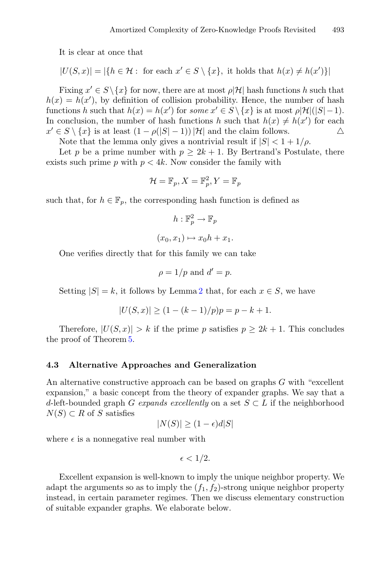It is clear at once that

$$
|U(S,x)| = |\{h \in \mathcal{H} : \text{ for each } x' \in S \setminus \{x\}, \text{ it holds that } h(x) \neq h(x')\}|
$$

Fixing  $x' \in S \setminus \{x\}$  for now, there are at most  $\rho | \mathcal{H} |$  hash functions h such that  $h(x) = h(x')$ , by definition of collision probability. Hence, the number of hash functions h such that  $h(x) = h(x')$  for *some*  $x' \in S \setminus \{x\}$  is at most  $\rho |\mathcal{H}|(|S|-1)$ . In conclusion, the number of hash functions h such that  $h(x) \neq h(x')$  for each  $h(x) \in \mathbb{R}$ .  $x' \in S \setminus \{x\}$  is at least  $(1 - \rho(|S| - 1))|\mathcal{H}|$  and the claim follows.

Note that the lemma only gives a nontrivial result if  $|S| < 1 + 1/\rho$ .

Let p be a prime number with  $p \geq 2k + 1$ . By Bertrand's Postulate, there exists such prime p with  $p < 4k$ . Now consider the family with

$$
\mathcal{H} = \mathbb{F}_p, X = \mathbb{F}_p^2, Y = \mathbb{F}_p
$$

such that, for  $h \in \mathbb{F}_p$ , the corresponding hash function is defined as

$$
h: \mathbb{F}_p^2 \to \mathbb{F}_p
$$

$$
(x_0, x_1) \mapsto x_0 h + x_1.
$$

One verifies directly that for this family we can take

$$
\rho = 1/p \text{ and } d' = p.
$$

Setting  $|S| = k$ , it follows by Lemma [2](#page-13-1) that, for each  $x \in S$ , we have

$$
|U(S, x)| \ge (1 - (k - 1)/p)p = p - k + 1.
$$

Therefore,  $|U(S, x)| > k$  if the prime p satisfies  $p \geq 2k + 1$ . This concludes the proof of Theorem [5.](#page-12-1)

#### **4.3 Alternative Approaches and Generalization**

An alternative constructive approach can be based on graphs G with "excellent expansion," a basic concept from the theory of expander graphs. We say that a d-left-bounded graph G *expands excellently* on a set  $S \subset L$  if the neighborhood  $N(S) \subset R$  of S satisfies

$$
|N(S)| \ge (1 - \epsilon)d|S|
$$

where  $\epsilon$  is a nonnegative real number with

$$
\epsilon < 1/2.
$$

Excellent expansion is well-known to imply the unique neighbor property. We adapt the arguments so as to imply the  $(f_1, f_2)$ -strong unique neighbor property instead, in certain parameter regimes. Then we discuss elementary construction of suitable expander graphs. We elaborate below.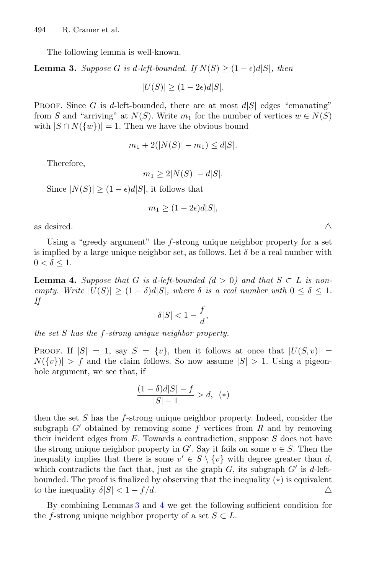The following lemma is well-known.

**Lemma 3.** *Suppose* G *is* d-left-bounded. If  $N(S) > (1 - \epsilon) d|S|$ , then

<span id="page-15-0"></span> $|U(S)| \ge (1-2\epsilon)d|S|.$ 

PROOF. Since G is d-left-bounded, there are at most  $d|S|$  edges "emanating" from S and "arriving" at  $N(S)$ . Write  $m_1$  for the number of vertices  $w \in N(S)$ with  $|S \cap N({w})| = 1$ . Then we have the obvious bound

$$
m_1 + 2(|N(S)| - m_1) \le d|S|.
$$

Therefore,

$$
m_1 \ge 2|N(S)| - d|S|.
$$

Since  $|N(S)| \ge (1 - \epsilon)d|S|$ , it follows that

$$
m_1 \ge (1 - 2\epsilon)d|S|,
$$

as desired.  $\triangle$ 

Using a "greedy argument" the f-strong unique neighbor property for a set is implied by a large unique neighbor set, as follows. Let  $\delta$  be a real number with  $0 < \delta \leq 1$ .

<span id="page-15-1"></span>**Lemma 4.** Suppose that G is d-left-bounded  $(d > 0)$  and that  $S \subset L$  is non*empty. Write*  $|U(S)| \geq (1 - \delta)d|S|$ *, where*  $\delta$  *is a real number with*  $0 \leq \delta \leq 1$ *. If*

$$
\delta |S|<1-\frac{f}{d},
$$

*the set* S *has the* f*-strong unique neighbor property.*

PROOF. If  $|S| = 1$ , say  $S = \{v\}$ , then it follows at once that  $|U(S, v)| =$  $N({v}) > f$  and the claim follows. So now assume  $|S| > 1$ . Using a pigeonhole argument, we see that, if

$$
\frac{(1-\delta)d|S|-f}{|S|-1} > d, (*)
$$

then the set S has the f-strong unique neighbor property. Indeed, consider the subgraph  $G'$  obtained by removing some f vertices from R and by removing their incident edges from  $E$ . Towards a contradiction, suppose  $S$  does not have the strong unique neighbor property in  $G'$ . Say it fails on some  $v \in S$ . Then the inequality implies that there is some  $v' \in S \setminus \{v\}$  with degree greater than d, which contradicts the fact that, just as the graph  $G$ , its subgraph  $G'$  is d-leftbounded. The proof is finalized by observing that the inequality (\*) is equivalent to the inequality  $\delta|S| < 1 - f/d$ . to the inequality  $\delta|S| < 1 - f/d$ .

<span id="page-15-2"></span>By combining Lemmas [3](#page-15-0) and [4](#page-15-1) we get the following sufficient condition for the f-strong unique neighbor property of a set  $S \subset L$ .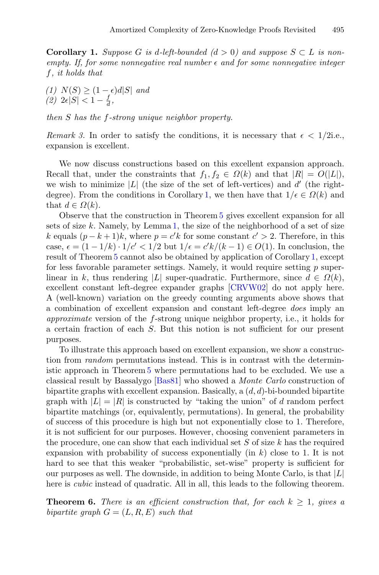**Corollary 1.** *Suppose* G *is d-left-bounded*  $(d > 0)$  and *suppose*  $S \subset L$  *is nonempty. If, for some nonnegative real number*  $\epsilon$  and for some nonnegative integer f*, it holds that*

 $(1)$  *N*(*S*) ≥  $(1 - \epsilon)d|S|$  *and*  $(2)$   $2\epsilon |S| < 1 - \frac{f}{d}$ ,

*then* S *has the* f*-strong unique neighbor property.*

*Remark 3.* In order to satisfy the conditions, it is necessary that  $\epsilon < 1/2$ i.e., expansion is excellent.

We now discuss constructions based on this excellent expansion approach. Recall that, under the constraints that  $f_1, f_2 \in \Omega(k)$  and that  $|R| = O(|L|)$ , we wish to minimize  $|L|$  (the size of the set of left-vertices) and d' (the right-degree). From the conditions in Corollary [1,](#page-15-2) we then have that  $1/\epsilon \in \Omega(k)$  and that  $d \in \Omega(k)$ .

Observe that the construction in Theorem [5](#page-12-1) gives excellent expansion for all sets of size k. Namely, by Lemma [1,](#page-12-0) the size of the neighborhood of a set of size k equals  $(p - k + 1)k$ , where  $p = c'k$  for some constant  $c' > 2$ . Therefore, in this case,  $\epsilon = (1 - 1/k) \cdot 1/c' < 1/2$  but  $1/\epsilon = c'k/(k-1) \in O(1)$ . In conclusion, the result of Theorem [5](#page-12-1) cannot also be obtained by application of Corollary [1,](#page-15-2) except for less favorable parameter settings. Namely, it would require setting  $p$  superlinear in k, thus rendering |L| super-quadratic. Furthermore, since  $d \in \Omega(k)$ , excellent constant left-degree expander graphs [\[CRVW02](#page-20-7)] do not apply here. A (well-known) variation on the greedy counting arguments above shows that a combination of excellent expansion and constant left-degree *does* imply an *approximate* version of the f-strong unique neighbor property, i.e., it holds for a certain fraction of each S. But this notion is not sufficient for our present purposes.

To illustrate this approach based on excellent expansion, we show a construction from *random* permutations instead. This is in contrast with the deterministic approach in Theorem [5](#page-12-1) where permutations had to be excluded. We use a classical result by Bassalygo [\[Bas81](#page-20-8)] who showed a *Monte Carlo* construction of bipartite graphs with excellent expansion. Basically, a  $(d, d)$ -bi-bounded bipartite graph with  $|L| = |R|$  is constructed by "taking the union" of d random perfect bipartite matchings (or, equivalently, permutations). In general, the probability of success of this procedure is high but not exponentially close to 1. Therefore, it is not sufficient for our purposes. However, choosing convenient parameters in the procedure, one can show that each individual set  $S$  of size  $k$  has the required expansion with probability of success exponentially (in  $k$ ) close to 1. It is not hard to see that this weaker "probabilistic, set-wise" property is sufficient for our purposes as well. The downside, in addition to being Monte Carlo, is that  $|L|$ here is *cubic* instead of quadratic. All in all, this leads to the following theorem.

<span id="page-16-0"></span>**Theorem 6.** *There is an efficient construction that, for each*  $k \geq 1$ *, gives a bipartite graph*  $G = (L, R, E)$  *such that*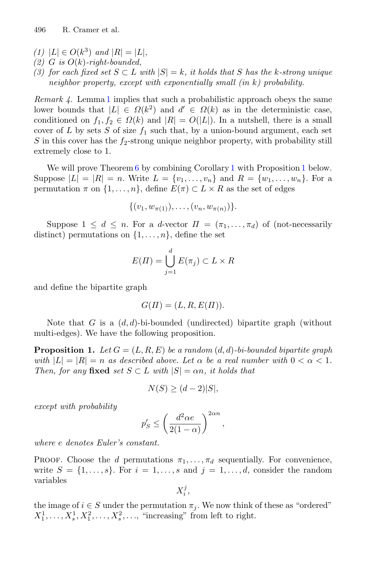- *(1)* |L| ∈  $O(k^3)$  *and* |R| = |L|,
- $(2)$  *G is*  $O(k)$ -right-bounded,
- *(3) for each fixed set*  $S ⊂ L$  *with*  $|S| = k$ *, it holds that*  $S$  *has the k-strong unique neighbor property, except with exponentially small (in* k*) probability.*

*Remark 4.* Lemma [1](#page-12-0) implies that such a probabilistic approach obeys the same lower bounds that  $|L| \in \Omega(k^2)$  and  $d' \in \Omega(k)$  as in the deterministic case, conditioned on  $f_1, f_2 \in \Omega(k)$  and  $|R| = O(|L|)$ . In a nutshell, there is a small cover of L by sets S of size  $f_1$  such that, by a union-bound argument, each set  $S$  in this cover has the  $f_2$ -strong unique neighbor property, with probability still extremely close to 1.

We will prove Theorem  $6$  by combining Corollary [1](#page-17-0) with Proposition 1 below. Suppose  $|L| = |R| = n$ . Write  $L = \{v_1, \ldots, v_n\}$  and  $R = \{w_1, \ldots, w_n\}$ . For a permutation  $\pi$  on  $\{1,\ldots,n\}$ , define  $E(\pi) \subset L \times R$  as the set of edges

$$
\{(v_1, w_{\pi(1)}), \ldots, (v_n, w_{\pi(n)})\}.
$$

Suppose  $1 \leq d \leq n$ . For a d-vector  $\Pi = (\pi_1, \ldots, \pi_d)$  of (not-necessarily distinct) permutations on  $\{1,\ldots,n\}$ , define the set

$$
E(\Pi) = \bigcup_{j=1}^{d} E(\pi_j) \subset L \times R
$$

and define the bipartite graph

$$
G(\Pi) = (L, R, E(\Pi)).
$$

<span id="page-17-0"></span>Note that G is a  $(d,d)$ -bi-bounded (undirected) bipartite graph (without multi-edges). We have the following proposition.

**Proposition 1.** Let  $G = (L, R, E)$  be a random  $(d, d)$ -bi-bounded bipartite graph *with*  $|L| = |R| = n$  *as described above. Let*  $\alpha$  *be a real number with*  $0 < \alpha < 1$ *. Then, for any* **fixed** *set*  $S \subset L$  *with*  $|S| = \alpha n$ *, it holds that* 

$$
N(S) \ge (d-2)|S|,
$$

*except with probability*

$$
p'_S \le \left(\frac{d^2\alpha e}{2(1-\alpha)}\right)^{2\alpha n},
$$

*where* e *denotes Euler's constant.*

PROOF. Choose the d permutations  $\pi_1, \ldots, \pi_d$  sequentially. For convenience, write  $S = \{1, \ldots, s\}$ . For  $i = 1, \ldots, s$  and  $j = 1, \ldots, d$ , consider the random variables

$$
X_i^j,
$$

the image of  $i \in S$  under the permutation  $\pi_i$ . We now think of these as "ordered"  $X_1^1, \ldots, X_s^1, X_1^2, \ldots, X_s^2, \ldots$ , "increasing" from left to right.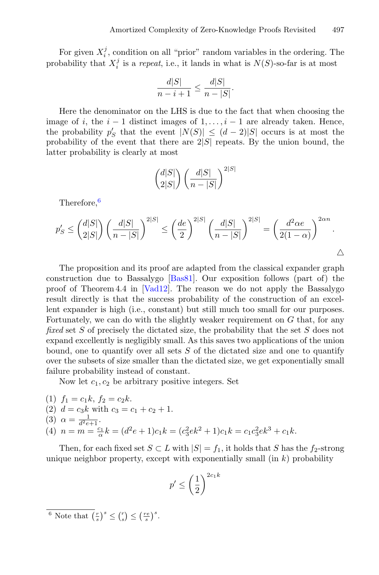For given  $X_i^j$ , condition on all "prior" random variables in the ordering. The probability that  $X_i^j$  is a *repeat*, i.e., it lands in what is  $N(S)$ -so-far is at most

$$
\frac{d|S|}{n-i+1} \le \frac{d|S|}{n-|S|}.
$$

Here the denominator on the LHS is due to the fact that when choosing the image of i, the  $i - 1$  distinct images of  $1, \ldots, i - 1$  are already taken. Hence, the probability  $p'_S$  that the event  $|N(S)| \leq (d-2)|S|$  occurs is at most the probability of the event that there are  $2|S|$  repeats. By the union bound, the latter probability is clearly at most

$$
\binom{d|S|}{2|S|}\left(\frac{d|S|}{n-|S|}\right)^{2|S|}
$$

Therefore,<sup>[6](#page-18-0)</sup>

$$
p'_{S} \leq {d|S| \choose 2|S|} \left(\frac{d|S|}{n-|S|}\right)^{2|S|} \leq \left(\frac{de}{2}\right)^{2|S|} \left(\frac{d|S|}{n-|S|}\right)^{2|S|} = \left(\frac{d^2\alpha e}{2(1-\alpha)}\right)^{2\alpha n}.
$$

The proposition and its proof are adapted from the classical expander graph construction due to Bassalygo [\[Bas81\]](#page-20-8). Our exposition follows (part of) the proof of Theorem 4.4 in [\[Vad12](#page-21-9)]. The reason we do not apply the Bassalygo result directly is that the success probability of the construction of an excellent expander is high (i.e., constant) but still much too small for our purposes. Fortunately, we can do with the slightly weaker requirement on  $G$  that, for any *fixed* set S of precisely the dictated size, the probability that the set S does not expand excellently is negligibly small. As this saves two applications of the union bound, one to quantify over all sets  $S$  of the dictated size and one to quantify over the subsets of size smaller than the dictated size, we get exponentially small failure probability instead of constant.

Now let  $c_1, c_2$  be arbitrary positive integers. Set

(1) 
$$
f_1 = c_1k
$$
,  $f_2 = c_2k$ .  
\n(2)  $d = c_3k$  with  $c_3 = c_1 + c_2 + 1$ .  
\n(3)  $\alpha = \frac{1}{d^2e+1}$ .  
\n(4)  $n = m = \frac{c_1}{\alpha}k = (d^2e+1)c_1k = (c_3^2ek^2+1)c_1k = c_1c_3^2ek^3 + c_1k$ .

Then, for each fixed set  $S \subset L$  with  $|S| = f_1$ , it holds that S has the  $f_2$ -strong unique neighbor property, except with exponentially small  $(in k)$  probability

$$
p' \le \left(\frac{1}{2}\right)^{2c_1 k}
$$

<span id="page-18-0"></span><sup>6</sup> Note that  $\left(\frac{r}{s}\right)^s \leq \left(\frac{r}{s}\right) \leq \left(\frac{re}{s}\right)^s$ .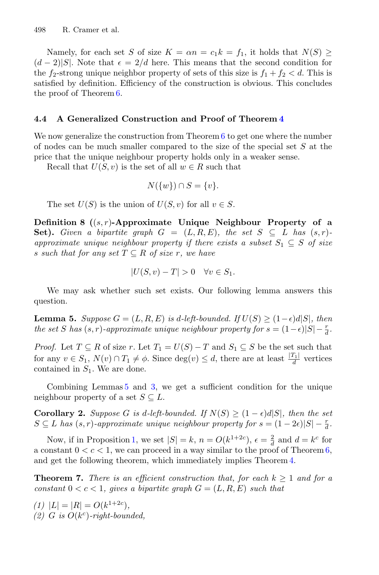Namely, for each set S of size  $K = \alpha n = c_1 k = f_1$ , it holds that  $N(S) \geq$  $(d-2)|S|$ . Note that  $\epsilon = 2/d$  here. This means that the second condition for the  $f_2$ -strong unique neighbor property of sets of this size is  $f_1 + f_2 < d$ . This is satisfied by definition. Efficiency of the construction is obvious. This concludes the proof of Theorem [6.](#page-16-0)

## **4.4 A Generalized Construction and Proof of Theorem [4](#page-9-0)**

We now generalize the construction from Theorem  $6$  to get one where the number of nodes can be much smaller compared to the size of the special set S at the price that the unique neighbour property holds only in a weaker sense.

Recall that  $U(S, v)$  is the set of all  $w \in R$  such that

$$
N({w}) \cap S = {v}.
$$

The set  $U(S)$  is the union of  $U(S, v)$  for all  $v \in S$ .

**Definition 8 (**(s, r)**-Approximate Unique Neighbour Property of a Set).** Given a bipartite graph  $G = (L, R, E)$ , the set  $S \subseteq L$  has  $(s, r)$ *approximate unique neighbour property if there exists a subset*  $S_1 \subseteq S$  *of size* s such that for any set  $T \subseteq R$  of size r, we have

$$
|U(S,v) - T| > 0 \quad \forall v \in S_1.
$$

<span id="page-19-0"></span>We may ask whether such set exists. Our following lemma answers this question.

**Lemma 5.** *Suppose*  $G = (L, R, E)$  *is d-left-bounded.* If  $U(S) \geq (1 - \epsilon) d|S|$ *, then the set* S *has*  $(s, r)$ *-approximate unique neighbour property for*  $s = (1 - \epsilon)|S| - \frac{r}{d}$ *.* 

*Proof.* Let  $T \subseteq R$  of size r. Let  $T_1 = U(S) - T$  and  $S_1 \subseteq S$  be the set such that for any  $v \in S_1$ ,  $N(v) \cap T_1 \neq \emptyset$ . Since  $deg(v) \leq d$ , there are at least  $\frac{|T_1|}{d}$  vertices contained in  $S_1$ . We are done.

Combining Lemmas [5](#page-19-0) and [3,](#page-15-0) we get a sufficient condition for the unique neighbour property of a set  $S \subseteq L$ .

**Corollary 2.** *Suppose* G *is* d-left-bounded. If  $N(S) \geq (1 - \epsilon)d|S|$ , then the set  $S \subseteq L$  has  $(s, r)$ -approximate unique neighbour property for  $s = (1 - 2\epsilon)|S| - \frac{r}{d}$ .

Now, if in Proposition [1,](#page-17-0) we set  $|S| = k$ ,  $n = O(k^{1+2c})$ ,  $\epsilon = \frac{2}{d}$  and  $d = k^c$  for a constant  $0 < c < 1$ , we can proceed in a way similar to the proof of Theorem [6,](#page-16-0) and get the following theorem, which immediately implies Theorem [4.](#page-9-0)

**Theorem 7.** *There is an efficient construction that, for each*  $k \geq 1$  *and for a constant*  $0 < c < 1$ *, gives a bipartite graph*  $G = (L, R, E)$  *such that* 

 $(1)$   $|L| = |R| = O(k^{1+2c}),$  $(2)$  *G is*  $O(k^c)$ -right-bounded,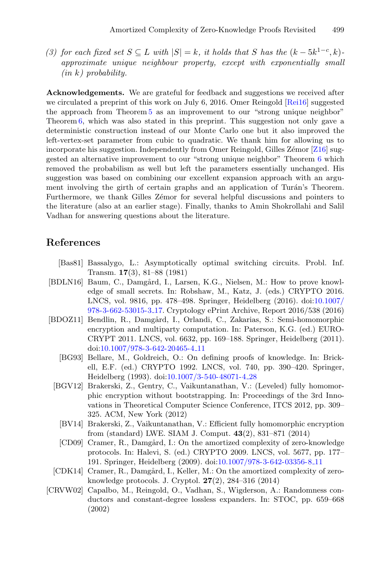*(3) for each fixed set*  $S \subseteq L$  *with*  $|S| = k$ *, it holds that* S *has the*  $(k - 5k^{1-c}, k)$ *approximate unique neighbour property, except with exponentially small (in* k*) probability.*

**Acknowledgements.** We are grateful for feedback and suggestions we received after we circulated a preprint of this work on July 6, 2016. Omer Reingold [\[Rei16\]](#page-21-10) suggested the approach from Theorem [5](#page-12-1) as an improvement to our "strong unique neighbor" Theorem [6,](#page-16-0) which was also stated in this preprint. This suggestion not only gave a deterministic construction instead of our Monte Carlo one but it also improved the left-vertex-set parameter from cubic to quadratic. We thank him for allowing us to incorporate his suggestion. Independently from Omer Reingold, Gilles Zémor  $[Z16]$  $[Z16]$  suggested an alternative improvement to our "strong unique neighbor" Theorem [6](#page-16-0) which removed the probabilism as well but left the parameters essentially unchanged. His suggestion was based on combining our excellent expansion approach with an argument involving the girth of certain graphs and an application of Turán's Theorem. Furthermore, we thank Gilles Zémor for several helpful discussions and pointers to the literature (also at an earlier stage). Finally, thanks to Amin Shokrollahi and Salil Vadhan for answering questions about the literature.

## <span id="page-20-8"></span>**References**

- [Bas81] Bassalygo, L.: Asymptotically optimal switching circuits. Probl. Inf. Transm. **17**(3), 81–88 (1981)
- <span id="page-20-0"></span>[BDLN16] Baum, C., Damgård, I., Larsen, K.G., Nielsen, M.: How to prove knowledge of small secrets. In: Robshaw, M., Katz, J. (eds.) CRYPTO 2016. LNCS, vol. 9816, pp. 478–498. Springer, Heidelberg (2016). doi[:10.1007/](http://dx.doi.org/10.1007/978-3-662-53015-3_17) [978-3-662-53015-3](http://dx.doi.org/10.1007/978-3-662-53015-3_17) 17. Cryptology ePrint Archive, Report 2016/538 (2016)
- <span id="page-20-6"></span><span id="page-20-2"></span><span id="page-20-1"></span>[BDOZ11] Bendlin, R., Damgård, I., Orlandi, C., Zakarias, S.: Semi-homomorphic encryption and multiparty computation. In: Paterson, K.G. (ed.) EURO-CRYPT 2011. LNCS, vol. 6632, pp. 169–188. Springer, Heidelberg (2011). doi[:10.1007/978-3-642-20465-4](http://dx.doi.org/10.1007/978-3-642-20465-4_11) 11
	- [BG93] Bellare, M., Goldreich, O.: On defining proofs of knowledge. In: Brickell, E.F. (ed.) CRYPTO 1992. LNCS, vol. 740, pp. 390–420. Springer, Heidelberg (1993). doi[:10.1007/3-540-48071-4](http://dx.doi.org/10.1007/3-540-48071-4_28) 28
	- [BGV12] Brakerski, Z., Gentry, C., Vaikuntanathan, V.: (Leveled) fully homomorphic encryption without bootstrapping. In: Proceedings of the 3rd Innovations in Theoretical Computer Science Conference, ITCS 2012, pp. 309– 325. ACM, New York (2012)
		- [BV14] Brakerski, Z., Vaikuntanathan, V.: Efficient fully homomorphic encryption from (standard) LWE. SIAM J. Comput. **43**(2), 831–871 (2014)
		- [CD09] Cramer, R., Damgård, I.: On the amortized complexity of zero-knowledge protocols. In: Halevi, S. (ed.) CRYPTO 2009. LNCS, vol. 5677, pp. 177– 191. Springer, Heidelberg (2009). doi[:10.1007/978-3-642-03356-8](http://dx.doi.org/10.1007/978-3-642-03356-8_11) 11
- <span id="page-20-5"></span><span id="page-20-3"></span>[CDK14] Cramer, R., Damgård, I., Keller, M.: On the amortized complexity of zeroknowledge protocols. J. Cryptol. **27**(2), 284–316 (2014)
- <span id="page-20-7"></span><span id="page-20-4"></span>[CRVW02] Capalbo, M., Reingold, O., Vadhan, S., Wigderson, A.: Randomness conductors and constant-degree lossless expanders. In: STOC, pp. 659–668 (2002)